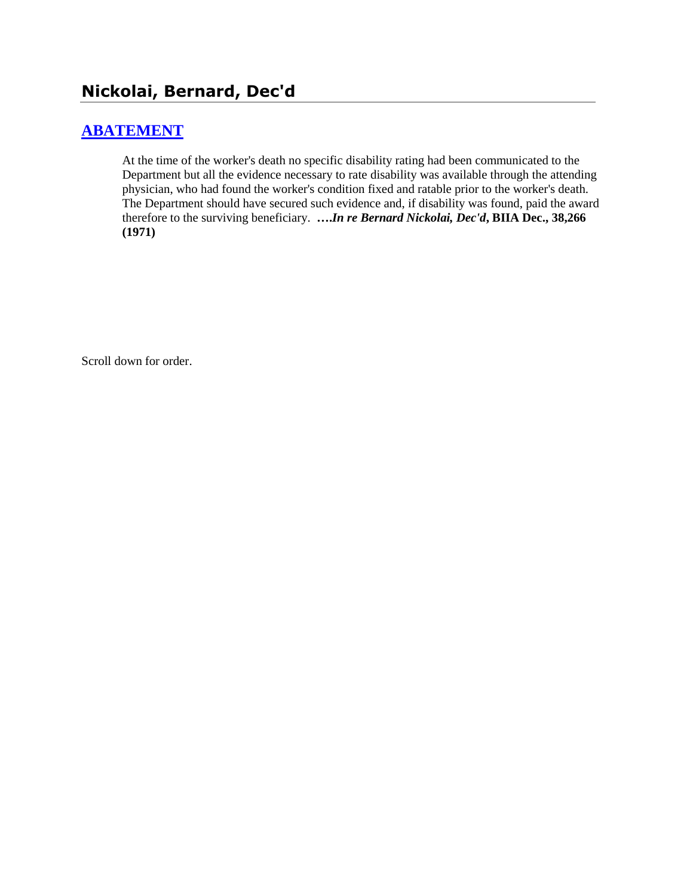# **Nickolai, Bernard, Dec'd**

## **[ABATEMENT](http://www.biia.wa.gov/SDSubjectIndex.html#ABATEMENT)**

At the time of the worker's death no specific disability rating had been communicated to the Department but all the evidence necessary to rate disability was available through the attending physician, who had found the worker's condition fixed and ratable prior to the worker's death. The Department should have secured such evidence and, if disability was found, paid the award therefore to the surviving beneficiary. **….***In re Bernard Nickolai, Dec'd***, BIIA Dec., 38,266 (1971)** 

Scroll down for order.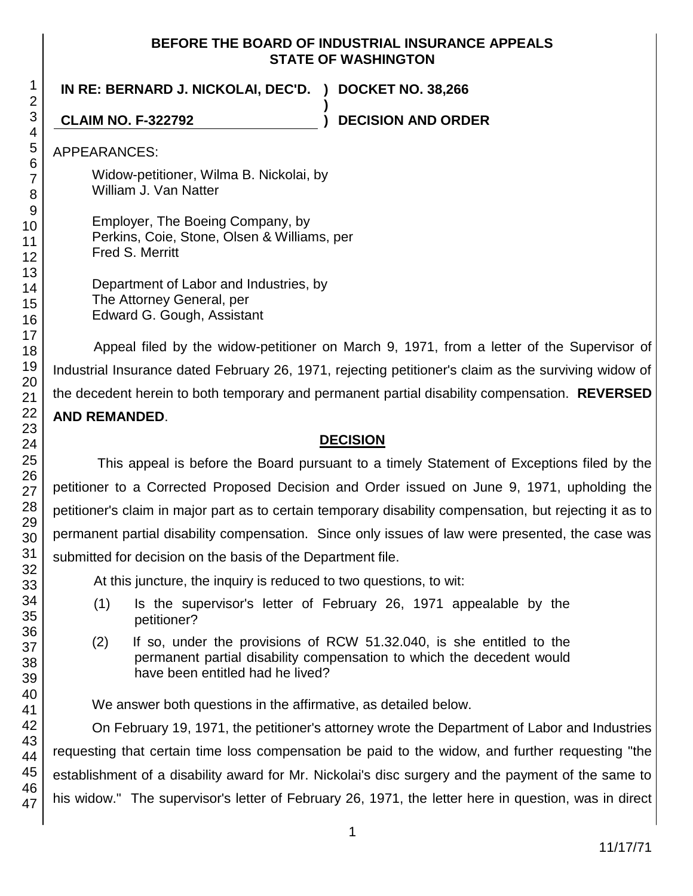#### **BEFORE THE BOARD OF INDUSTRIAL INSURANCE APPEALS STATE OF WASHINGTON**

**IN RE: BERNARD J. NICKOLAI, DEC'D. ) DOCKET NO. 38,266 )**

**CLAIM NO. F-322792 ) DECISION AND ORDER**

APPEARANCES:

Widow-petitioner, Wilma B. Nickolai, by William J. Van Natter

Employer, The Boeing Company, by Perkins, Coie, Stone, Olsen & Williams, per Fred S. Merritt

Department of Labor and Industries, by The Attorney General, per Edward G. Gough, Assistant

Appeal filed by the widow-petitioner on March 9, 1971, from a letter of the Supervisor of Industrial Insurance dated February 26, 1971, rejecting petitioner's claim as the surviving widow of the decedent herein to both temporary and permanent partial disability compensation. **REVERSED AND REMANDED**.

### **DECISION**

This appeal is before the Board pursuant to a timely Statement of Exceptions filed by the petitioner to a Corrected Proposed Decision and Order issued on June 9, 1971, upholding the petitioner's claim in major part as to certain temporary disability compensation, but rejecting it as to permanent partial disability compensation. Since only issues of law were presented, the case was submitted for decision on the basis of the Department file.

At this juncture, the inquiry is reduced to two questions, to wit:

- (1) Is the supervisor's letter of February 26, 1971 appealable by the petitioner?
- (2) If so, under the provisions of RCW 51.32.040, is she entitled to the permanent partial disability compensation to which the decedent would have been entitled had he lived?

We answer both questions in the affirmative, as detailed below.

On February 19, 1971, the petitioner's attorney wrote the Department of Labor and Industries requesting that certain time loss compensation be paid to the widow, and further requesting "the establishment of a disability award for Mr. Nickolai's disc surgery and the payment of the same to his widow." The supervisor's letter of February 26, 1971, the letter here in question, was in direct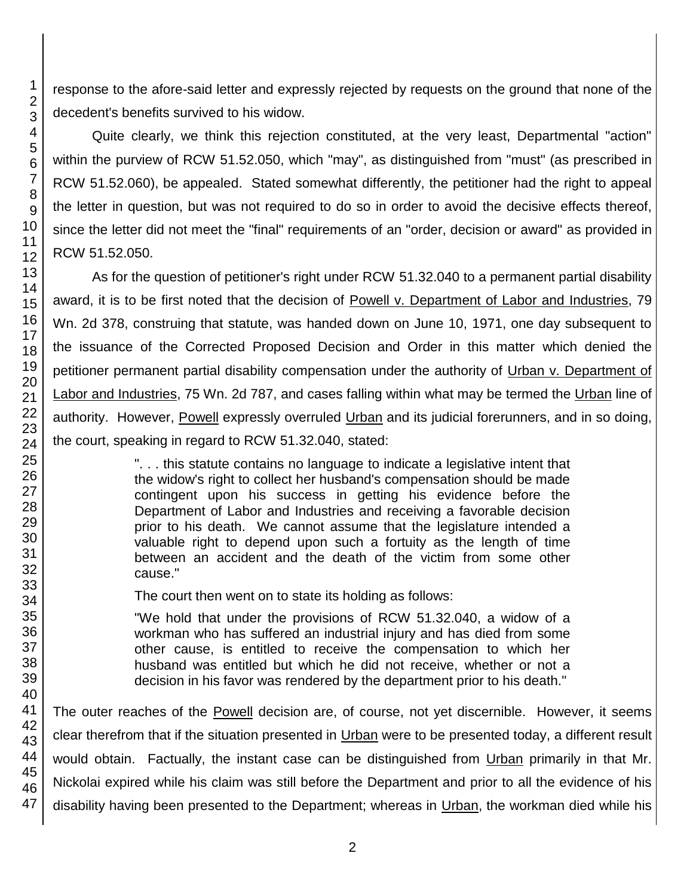response to the afore-said letter and expressly rejected by requests on the ground that none of the decedent's benefits survived to his widow.

Quite clearly, we think this rejection constituted, at the very least, Departmental "action" within the purview of RCW 51.52.050, which "may", as distinguished from "must" (as prescribed in RCW 51.52.060), be appealed. Stated somewhat differently, the petitioner had the right to appeal the letter in question, but was not required to do so in order to avoid the decisive effects thereof, since the letter did not meet the "final" requirements of an "order, decision or award" as provided in RCW 51.52.050.

As for the question of petitioner's right under RCW 51.32.040 to a permanent partial disability award, it is to be first noted that the decision of Powell v. Department of Labor and Industries, 79 Wn. 2d 378, construing that statute, was handed down on June 10, 1971, one day subsequent to the issuance of the Corrected Proposed Decision and Order in this matter which denied the petitioner permanent partial disability compensation under the authority of Urban v. Department of Labor and Industries, 75 Wn. 2d 787, and cases falling within what may be termed the Urban line of authority. However, Powell expressly overruled Urban and its judicial forerunners, and in so doing, the court, speaking in regard to RCW 51.32.040, stated:

> ". . . this statute contains no language to indicate a legislative intent that the widow's right to collect her husband's compensation should be made contingent upon his success in getting his evidence before the Department of Labor and Industries and receiving a favorable decision prior to his death. We cannot assume that the legislature intended a valuable right to depend upon such a fortuity as the length of time between an accident and the death of the victim from some other cause."

The court then went on to state its holding as follows:

"We hold that under the provisions of RCW 51.32.040, a widow of a workman who has suffered an industrial injury and has died from some other cause, is entitled to receive the compensation to which her husband was entitled but which he did not receive, whether or not a decision in his favor was rendered by the department prior to his death."

The outer reaches of the Powell decision are, of course, not yet discernible. However, it seems clear therefrom that if the situation presented in Urban were to be presented today, a different result would obtain. Factually, the instant case can be distinguished from Urban primarily in that Mr. Nickolai expired while his claim was still before the Department and prior to all the evidence of his disability having been presented to the Department; whereas in Urban, the workman died while his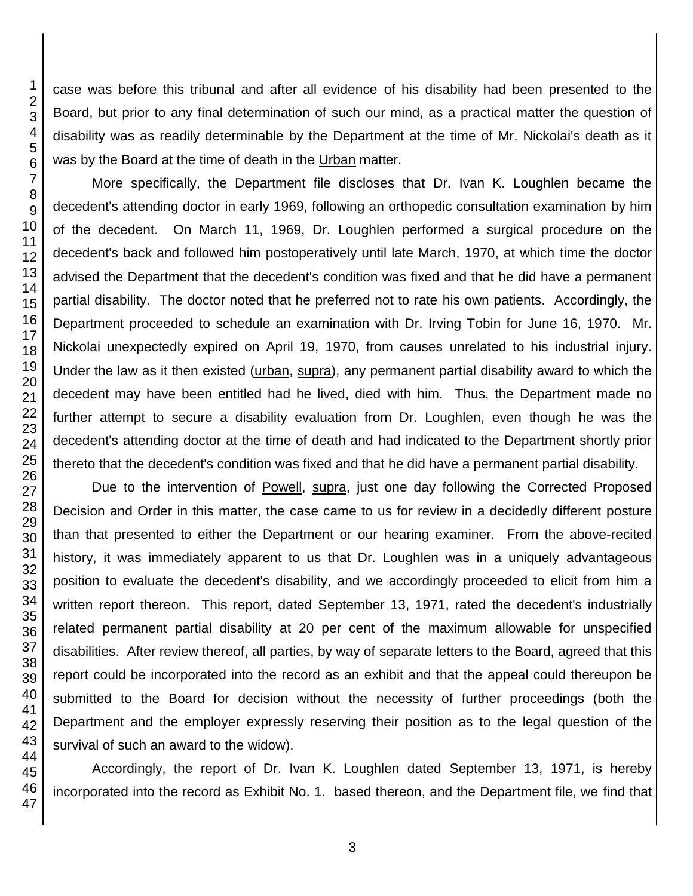case was before this tribunal and after all evidence of his disability had been presented to the Board, but prior to any final determination of such our mind, as a practical matter the question of disability was as readily determinable by the Department at the time of Mr. Nickolai's death as it was by the Board at the time of death in the Urban matter.

More specifically, the Department file discloses that Dr. Ivan K. Loughlen became the decedent's attending doctor in early 1969, following an orthopedic consultation examination by him of the decedent. On March 11, 1969, Dr. Loughlen performed a surgical procedure on the decedent's back and followed him postoperatively until late March, 1970, at which time the doctor advised the Department that the decedent's condition was fixed and that he did have a permanent partial disability. The doctor noted that he preferred not to rate his own patients. Accordingly, the Department proceeded to schedule an examination with Dr. Irving Tobin for June 16, 1970. Mr. Nickolai unexpectedly expired on April 19, 1970, from causes unrelated to his industrial injury. Under the law as it then existed (urban, supra), any permanent partial disability award to which the decedent may have been entitled had he lived, died with him. Thus, the Department made no further attempt to secure a disability evaluation from Dr. Loughlen, even though he was the decedent's attending doctor at the time of death and had indicated to the Department shortly prior thereto that the decedent's condition was fixed and that he did have a permanent partial disability.

Due to the intervention of Powell, supra, just one day following the Corrected Proposed Decision and Order in this matter, the case came to us for review in a decidedly different posture than that presented to either the Department or our hearing examiner. From the above-recited history, it was immediately apparent to us that Dr. Loughlen was in a uniquely advantageous position to evaluate the decedent's disability, and we accordingly proceeded to elicit from him a written report thereon. This report, dated September 13, 1971, rated the decedent's industrially related permanent partial disability at 20 per cent of the maximum allowable for unspecified disabilities. After review thereof, all parties, by way of separate letters to the Board, agreed that this report could be incorporated into the record as an exhibit and that the appeal could thereupon be submitted to the Board for decision without the necessity of further proceedings (both the Department and the employer expressly reserving their position as to the legal question of the survival of such an award to the widow).

Accordingly, the report of Dr. Ivan K. Loughlen dated September 13, 1971, is hereby incorporated into the record as Exhibit No. 1. based thereon, and the Department file, we find that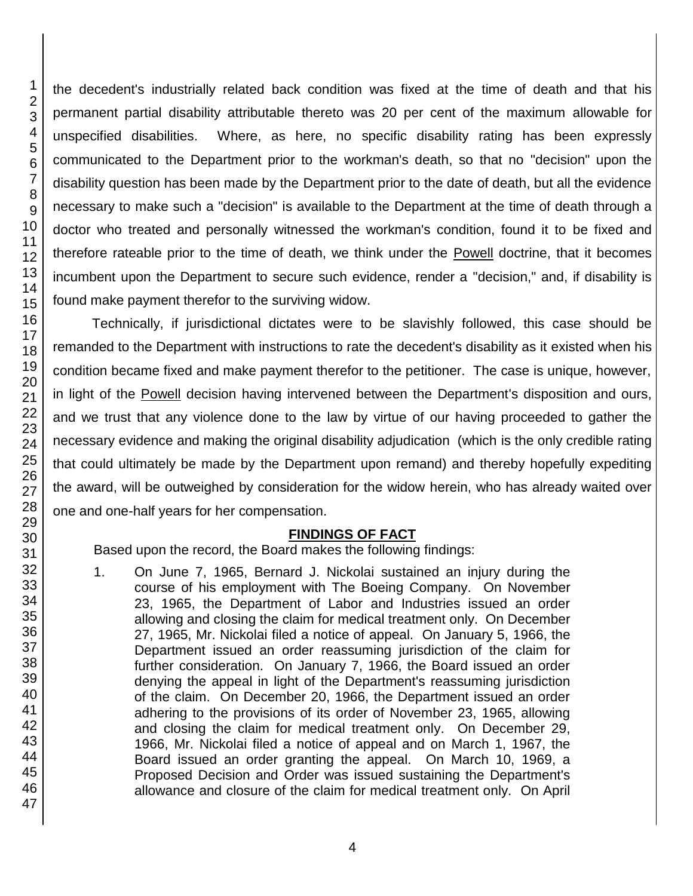2 3 4 5 6 7 8 9 10 11 12 13 14 15 16 17 18 19 20 21 22 23 24 25 26 27 28 29 30 31 32 the decedent's industrially related back condition was fixed at the time of death and that his permanent partial disability attributable thereto was 20 per cent of the maximum allowable for unspecified disabilities. Where, as here, no specific disability rating has been expressly communicated to the Department prior to the workman's death, so that no "decision" upon the disability question has been made by the Department prior to the date of death, but all the evidence necessary to make such a "decision" is available to the Department at the time of death through a doctor who treated and personally witnessed the workman's condition, found it to be fixed and therefore rateable prior to the time of death, we think under the Powell doctrine, that it becomes incumbent upon the Department to secure such evidence, render a "decision," and, if disability is found make payment therefor to the surviving widow. Technically, if jurisdictional dictates were to be slavishly followed, this case should be remanded to the Department with instructions to rate the decedent's disability as it existed when his condition became fixed and make payment therefor to the petitioner. The case is unique, however, in light of the Powell decision having intervened between the Department's disposition and ours, and we trust that any violence done to the law by virtue of our having proceeded to gather the necessary evidence and making the original disability adjudication (which is the only credible rating that could ultimately be made by the Department upon remand) and thereby hopefully expediting the award, will be outweighed by consideration for the widow herein, who has already waited over one and one-half years for her compensation. **FINDINGS OF FACT** Based upon the record, the Board makes the following findings:

1. On June 7, 1965, Bernard J. Nickolai sustained an injury during the course of his employment with The Boeing Company. On November 23, 1965, the Department of Labor and Industries issued an order allowing and closing the claim for medical treatment only. On December 27, 1965, Mr. Nickolai filed a notice of appeal. On January 5, 1966, the Department issued an order reassuming jurisdiction of the claim for further consideration. On January 7, 1966, the Board issued an order denying the appeal in light of the Department's reassuming jurisdiction of the claim. On December 20, 1966, the Department issued an order adhering to the provisions of its order of November 23, 1965, allowing and closing the claim for medical treatment only. On December 29, 1966, Mr. Nickolai filed a notice of appeal and on March 1, 1967, the Board issued an order granting the appeal. On March 10, 1969, a Proposed Decision and Order was issued sustaining the Department's allowance and closure of the claim for medical treatment only. On April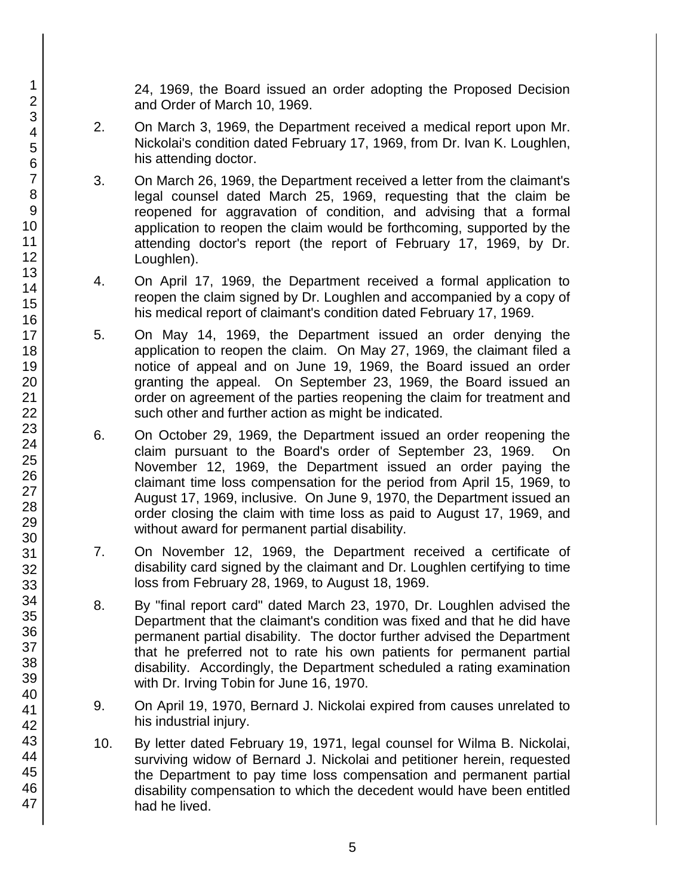24, 1969, the Board issued an order adopting the Proposed Decision and Order of March 10, 1969.

- 2. On March 3, 1969, the Department received a medical report upon Mr. Nickolai's condition dated February 17, 1969, from Dr. Ivan K. Loughlen, his attending doctor.
- 3. On March 26, 1969, the Department received a letter from the claimant's legal counsel dated March 25, 1969, requesting that the claim be reopened for aggravation of condition, and advising that a formal application to reopen the claim would be forthcoming, supported by the attending doctor's report (the report of February 17, 1969, by Dr. Loughlen).
- 4. On April 17, 1969, the Department received a formal application to reopen the claim signed by Dr. Loughlen and accompanied by a copy of his medical report of claimant's condition dated February 17, 1969.
- 5. On May 14, 1969, the Department issued an order denying the application to reopen the claim. On May 27, 1969, the claimant filed a notice of appeal and on June 19, 1969, the Board issued an order granting the appeal. On September 23, 1969, the Board issued an order on agreement of the parties reopening the claim for treatment and such other and further action as might be indicated.
- 6. On October 29, 1969, the Department issued an order reopening the claim pursuant to the Board's order of September 23, 1969. On November 12, 1969, the Department issued an order paying the claimant time loss compensation for the period from April 15, 1969, to August 17, 1969, inclusive. On June 9, 1970, the Department issued an order closing the claim with time loss as paid to August 17, 1969, and without award for permanent partial disability.
- 7. On November 12, 1969, the Department received a certificate of disability card signed by the claimant and Dr. Loughlen certifying to time loss from February 28, 1969, to August 18, 1969.
- 8. By "final report card" dated March 23, 1970, Dr. Loughlen advised the Department that the claimant's condition was fixed and that he did have permanent partial disability. The doctor further advised the Department that he preferred not to rate his own patients for permanent partial disability. Accordingly, the Department scheduled a rating examination with Dr. Irving Tobin for June 16, 1970.
- 9. On April 19, 1970, Bernard J. Nickolai expired from causes unrelated to his industrial injury.
- 10. By letter dated February 19, 1971, legal counsel for Wilma B. Nickolai, surviving widow of Bernard J. Nickolai and petitioner herein, requested the Department to pay time loss compensation and permanent partial disability compensation to which the decedent would have been entitled had he lived.